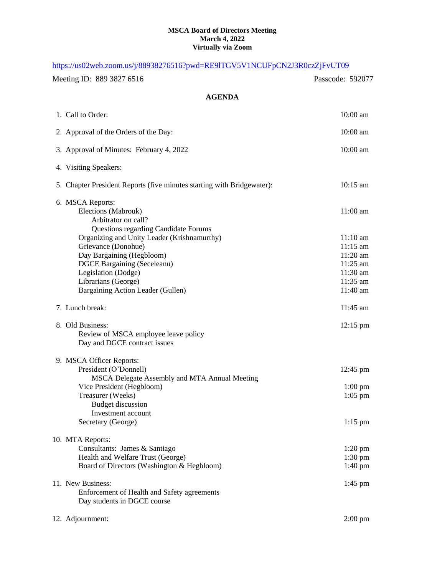## **MSCA Board of Directors Meeting March 4, 2022 Virtually via Zoom**

| https://us02web.zoom.us/j/88938276516?pwd=RE9ITGV5V1NCUFpCN2J3R0czZjFvUT09                                                                                                                                                                                                                                                                |                                                                                                        |
|-------------------------------------------------------------------------------------------------------------------------------------------------------------------------------------------------------------------------------------------------------------------------------------------------------------------------------------------|--------------------------------------------------------------------------------------------------------|
| Meeting ID: 889 3827 6516                                                                                                                                                                                                                                                                                                                 | Passcode: 592077                                                                                       |
| <b>AGENDA</b>                                                                                                                                                                                                                                                                                                                             |                                                                                                        |
| 1. Call to Order:                                                                                                                                                                                                                                                                                                                         | 10:00 am                                                                                               |
| 2. Approval of the Orders of the Day:                                                                                                                                                                                                                                                                                                     | 10:00 am                                                                                               |
| 3. Approval of Minutes: February 4, 2022                                                                                                                                                                                                                                                                                                  | 10:00 am                                                                                               |
| 4. Visiting Speakers:                                                                                                                                                                                                                                                                                                                     |                                                                                                        |
| 5. Chapter President Reports (five minutes starting with Bridgewater):                                                                                                                                                                                                                                                                    | 10:15 am                                                                                               |
| 6. MSCA Reports:<br>Elections (Mabrouk)<br>Arbitrator on call?<br><b>Questions regarding Candidate Forums</b><br>Organizing and Unity Leader (Krishnamurthy)<br>Grievance (Donohue)<br>Day Bargaining (Hegbloom)<br><b>DGCE Bargaining (Seceleanu)</b><br>Legislation (Dodge)<br>Librarians (George)<br>Bargaining Action Leader (Gullen) | $11:00$ am<br>$11:10$ am<br>$11:15$ am<br>$11:20$ am<br>$11:25$ am<br>11:30 am<br>11:35 am<br>11:40 am |
| 7. Lunch break:                                                                                                                                                                                                                                                                                                                           | 11:45 am                                                                                               |
| 8. Old Business:<br>Review of MSCA employee leave policy<br>Day and DGCE contract issues                                                                                                                                                                                                                                                  | $12:15 \text{ pm}$                                                                                     |
| 9. MSCA Officer Reports:<br>President (O'Donnell)<br>MSCA Delegate Assembly and MTA Annual Meeting<br>Vice President (Hegbloom)<br>Treasurer (Weeks)<br><b>Budget discussion</b><br>Investment account<br>Secretary (George)                                                                                                              | $12:45 \text{ pm}$<br>$1:00\;{\rm pm}$<br>$1:05$ pm<br>$1:15$ pm                                       |
| 10. MTA Reports:<br>Consultants: James & Santiago<br>Health and Welfare Trust (George)<br>Board of Directors (Washington & Hegbloom)                                                                                                                                                                                                      | $1:20 \text{ pm}$<br>$1:30 \text{ pm}$<br>$1:40 \text{ pm}$                                            |
| 11. New Business:<br>Enforcement of Health and Safety agreements<br>Day students in DGCE course                                                                                                                                                                                                                                           | $1:45$ pm                                                                                              |
| 12. Adjournment:                                                                                                                                                                                                                                                                                                                          | $2:00 \text{ pm}$                                                                                      |